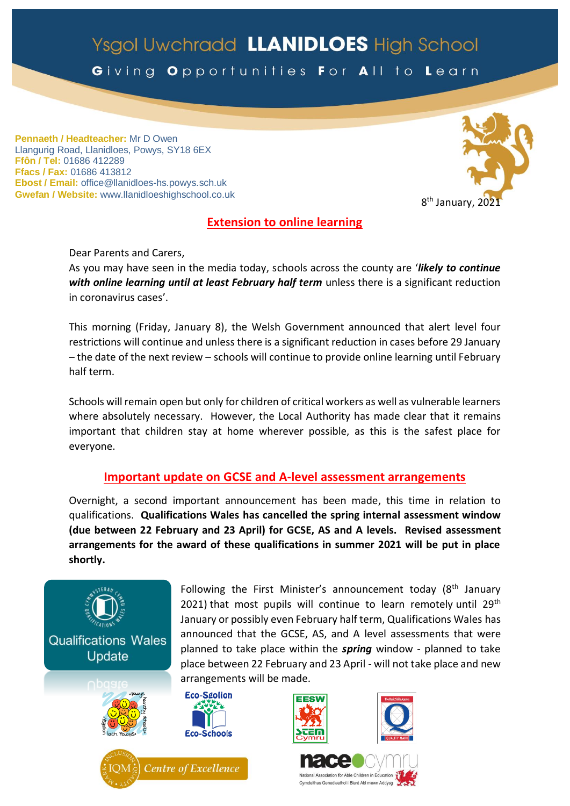# Ysgol Uwchradd LLANIDLOES High School

Giving Opportunities For All to Learn

**Pennaeth / Headteacher:** Mr D Owen Llangurig Road, Llanidloes, Powys, SY18 6EX **Ffôn / Tel:** 01686 412289 **Ffacs / Fax:** 01686 413812 **Ebost / Email:** office@llanidloes-hs.powys.sch.uk **Gwefan / Website:** www.llanidloeshighschool.co.uk



## **Extension to online learning**

Dear Parents and Carers,

As you may have seen in the media today, schools across the county are '*likely to continue with online learning until at least February half term* unless there is a significant reduction in coronavirus cases'.

This morning (Friday, January 8), the Welsh Government announced that alert level four restrictions will continue and unless there is a significant reduction in cases before 29 January – the date of the next review – schools will continue to provide online learning until February half term.

Schools will remain open but only for children of critical workers as well as vulnerable learners where absolutely necessary. However, the Local Authority has made clear that it remains important that children stay at home wherever possible, as this is the safest place for everyone.

### **Important update on GCSE and A-level assessment arrangements**

Overnight, a second important announcement has been made, this time in relation to qualifications. **Qualifications Wales has cancelled the spring internal assessment window (due between 22 February and 23 April) for GCSE, AS and A levels. Revised assessment arrangements for the award of these qualifications in summer 2021 will be put in place shortly.**



Following the First Minister's announcement today  $(8<sup>th</sup>$  January 2021) that most pupils will continue to learn remotely until  $29<sup>th</sup>$ January or possibly even February half term, Qualifications Wales has announced that the GCSE, AS, and A level assessments that were planned to take place within the *spring* window - planned to take place between 22 February and 23 April - will not take place and new arrangements will be made.